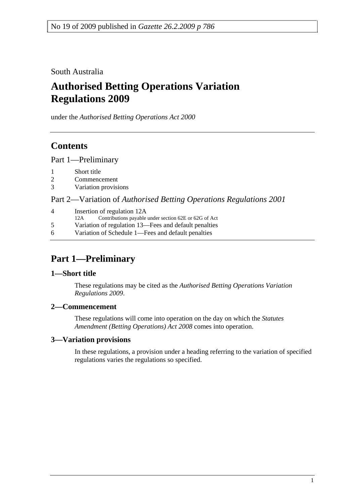South Australia

# **Authorised Betting Operations Variation Regulations 2009**

under the *Authorised Betting Operations Act 2000*

# **Contents**

Part 1—Preliminary

- 1 Short title
- 2 Commencement
- 3 Variation provisions

Part 2—Variation of *Authorised Betting Operations Regulations 2001*

4 Insertion of regulation 12A 12A Contributions payable under section 62E or 62G of Act 5 Variation of regulation 13—Fees and default penalties 6 Variation of Schedule 1—Fees and default penalties

# **Part 1—Preliminary**

### **1—Short title**

These regulations may be cited as the *Authorised Betting Operations Variation Regulations 2009*.

### **2—Commencement**

These regulations will come into operation on the day on which the *Statutes Amendment (Betting Operations) Act 2008* comes into operation.

## **3—Variation provisions**

In these regulations, a provision under a heading referring to the variation of specified regulations varies the regulations so specified.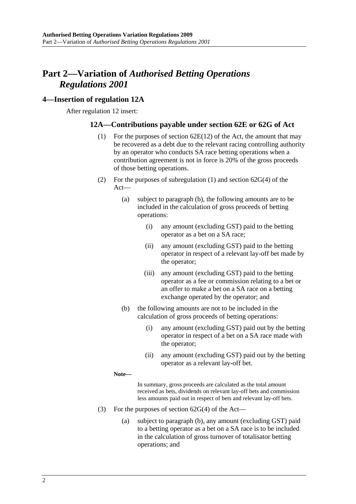# **Part 2—Variation of** *Authorised Betting Operations Regulations 2001*

### **4—Insertion of regulation 12A**

After regulation 12 insert:

### **12A—Contributions payable under section 62E or 62G of Act**

- (1) For the purposes of section 62E(12) of the Act, the amount that may be recovered as a debt due to the relevant racing controlling authority by an operator who conducts SA race betting operations when a contribution agreement is not in force is 20% of the gross proceeds of those betting operations.
- (2) For the purposes of subregulation (1) and section 62G(4) of the Act—
	- (a) subject to paragraph (b), the following amounts are to be included in the calculation of gross proceeds of betting operations:
		- (i) any amount (excluding GST) paid to the betting operator as a bet on a SA race;
		- (ii) any amount (excluding GST) paid to the betting operator in respect of a relevant lay-off bet made by the operator;
		- (iii) any amount (excluding GST) paid to the betting operator as a fee or commission relating to a bet or an offer to make a bet on a SA race on a betting exchange operated by the operator; and
	- (b) the following amounts are not to be included in the calculation of gross proceeds of betting operations:
		- (i) any amount (excluding GST) paid out by the betting operator in respect of a bet on a SA race made with the operator;
		- (ii) any amount (excluding GST) paid out by the betting operator as a relevant lay-off bet.

**Note—** 

In summary, gross proceeds are calculated as the total amount received as bets, dividends on relevant lay-off bets and commission less amounts paid out in respect of bets and relevant lay-off bets.

- (3) For the purposes of section  $62G(4)$  of the Act—
	- (a) subject to paragraph (b), any amount (excluding GST) paid to a betting operator as a bet on a SA race is to be included in the calculation of gross turnover of totalisator betting operations; and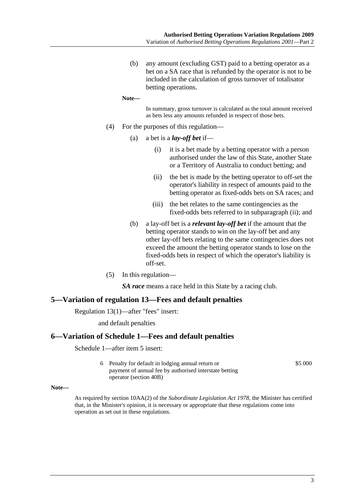(b) any amount (excluding GST) paid to a betting operator as a bet on a SA race that is refunded by the operator is not to be included in the calculation of gross turnover of totalisator betting operations.

```
Note—
```
In summary, gross turnover is calculated as the total amount received as bets less any amounts refunded in respect of those bets.

- (4) For the purposes of this regulation—
	- (a) a bet is a *lay-off bet* if—
		- (i) it is a bet made by a betting operator with a person authorised under the law of this State, another State or a Territory of Australia to conduct betting; and
		- (ii) the bet is made by the betting operator to off-set the operator's liability in respect of amounts paid to the betting operator as fixed-odds bets on SA races; and
		- (iii) the bet relates to the same contingencies as the fixed-odds bets referred to in subparagraph (ii); and
	- (b) a lay-off bet is a *relevant lay-off bet* if the amount that the betting operator stands to win on the lay-off bet and any other lay-off bets relating to the same contingencies does not exceed the amount the betting operator stands to lose on the fixed-odds bets in respect of which the operator's liability is off-set.
- (5) In this regulation—

*SA race* means a race held in this State by a racing club.

#### **5—Variation of regulation 13—Fees and default penalties**

Regulation 13(1)—after "fees" insert:

and default penalties

#### **6—Variation of Schedule 1—Fees and default penalties**

Schedule 1—after item 5 insert:

6 Penalty for default in lodging annual return or payment of annual fee by authorised interstate betting operator (section 40B) \$5 000

**Note—** 

As required by section 10AA(2) of the *Subordinate Legislation Act 1978*, the Minister has certified that, in the Minister's opinion, it is necessary or appropriate that these regulations come into operation as set out in these regulations.